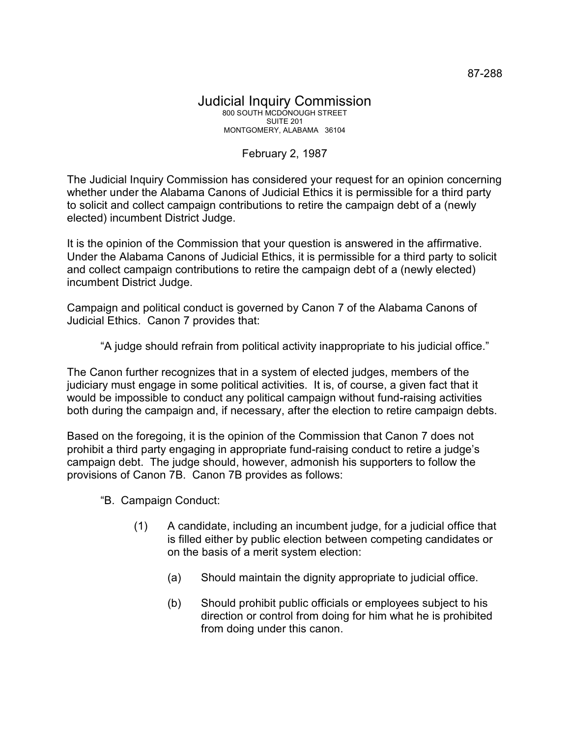## Judicial Inquiry Commission 800 SOUTH MCDONOUGH STREET SUITE 201 MONTGOMERY, ALABAMA 36104

## February 2, 1987

The Judicial Inquiry Commission has considered your request for an opinion concerning whether under the Alabama Canons of Judicial Ethics it is permissible for a third party to solicit and collect campaign contributions to retire the campaign debt of a (newly elected) incumbent District Judge.

It is the opinion of the Commission that your question is answered in the affirmative. Under the Alabama Canons of Judicial Ethics, it is permissible for a third party to solicit and collect campaign contributions to retire the campaign debt of a (newly elected) incumbent District Judge.

Campaign and political conduct is governed by Canon 7 of the Alabama Canons of Judicial Ethics. Canon 7 provides that:

"A judge should refrain from political activity inappropriate to his judicial office."

The Canon further recognizes that in a system of elected judges, members of the judiciary must engage in some political activities. It is, of course, a given fact that it would be impossible to conduct any political campaign without fund-raising activities both during the campaign and, if necessary, after the election to retire campaign debts.

Based on the foregoing, it is the opinion of the Commission that Canon 7 does not prohibit a third party engaging in appropriate fund-raising conduct to retire a judge's campaign debt. The judge should, however, admonish his supporters to follow the provisions of Canon 7B. Canon 7B provides as follows:

- "B. Campaign Conduct:
	- (1) A candidate, including an incumbent judge, for a judicial office that is filled either by public election between competing candidates or on the basis of a merit system election:
		- (a) Should maintain the dignity appropriate to judicial office.
		- (b) Should prohibit public officials or employees subject to his direction or control from doing for him what he is prohibited from doing under this canon.